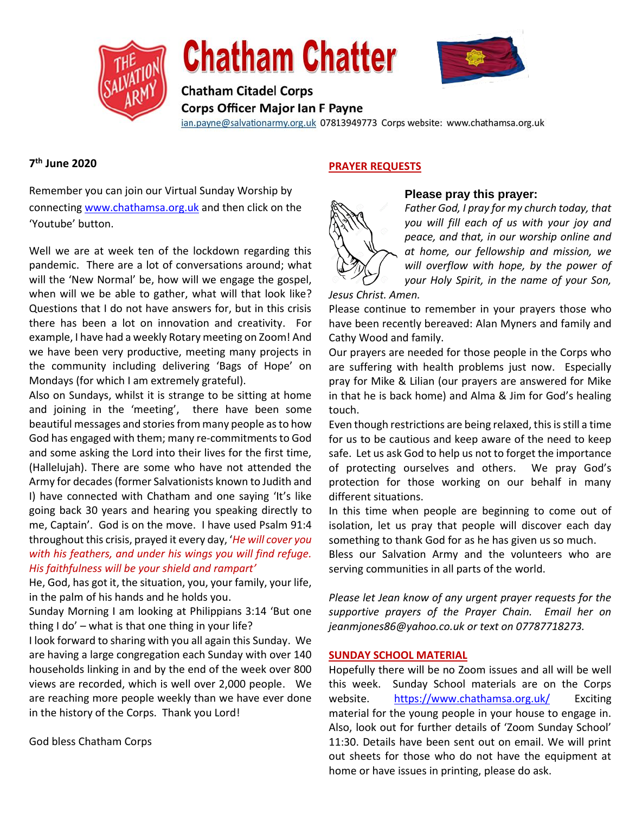

# **Chatham Chatter**



**Chatham Citadel Corps Corps Officer Major Ian F Payne** 

ian.payne@salvationarmy.org.uk 07813949773 Corps website: www.chathamsa.org.uk

## **7 th June 2020**

Remember you can join our Virtual Sunday Worship by connecting [www.chathamsa.org.uk](http://www.chathamsa.org.uk/) and then click on the 'Youtube' button.

Well we are at week ten of the lockdown regarding this pandemic. There are a lot of conversations around; what will the 'New Normal' be, how will we engage the gospel, when will we be able to gather, what will that look like? Questions that I do not have answers for, but in this crisis there has been a lot on innovation and creativity. For example, I have had a weekly Rotary meeting on Zoom! And we have been very productive, meeting many projects in the community including delivering 'Bags of Hope' on Mondays (for which I am extremely grateful).

Also on Sundays, whilst it is strange to be sitting at home and joining in the 'meeting', there have been some beautiful messages and stories from many people as to how God has engaged with them; many re-commitments to God and some asking the Lord into their lives for the first time, (Hallelujah). There are some who have not attended the Army for decades (former Salvationists known to Judith and I) have connected with Chatham and one saying 'It's like going back 30 years and hearing you speaking directly to me, Captain'. God is on the move. I have used Psalm 91:4 throughout this crisis, prayed it every day, '*He will cover you with his feathers, and under his wings you will find refuge. His faithfulness will be your shield and rampart'*

He, God, has got it, the situation, you, your family, your life, in the palm of his hands and he holds you.

Sunday Morning I am looking at Philippians 3:14 'But one thing I do' – what is that one thing in your life?

I look forward to sharing with you all again this Sunday. We are having a large congregation each Sunday with over 140 households linking in and by the end of the week over 800 views are recorded, which is well over 2,000 people. We are reaching more people weekly than we have ever done in the history of the Corps. Thank you Lord!

God bless Chatham Corps

## **PRAYER REQUESTS**



### **Please pray this prayer:**

*Father God, I pray for my church today, that you will fill each of us with your joy and peace, and that, in our worship online and at home, our fellowship and mission, we will overflow with hope, by the power of your Holy Spirit, in the name of your Son,* 

## *Jesus Christ. Amen.*

Please continue to remember in your prayers those who have been recently bereaved: Alan Myners and family and Cathy Wood and family.

Our prayers are needed for those people in the Corps who are suffering with health problems just now. Especially pray for Mike & Lilian (our prayers are answered for Mike in that he is back home) and Alma & Jim for God's healing touch.

Even though restrictions are being relaxed, this is still a time for us to be cautious and keep aware of the need to keep safe. Let us ask God to help us not to forget the importance of protecting ourselves and others. We pray God's protection for those working on our behalf in many different situations.

In this time when people are beginning to come out of isolation, let us pray that people will discover each day something to thank God for as he has given us so much.

Bless our Salvation Army and the volunteers who are serving communities in all parts of the world.

*Please let Jean know of any urgent prayer requests for the supportive prayers of the Prayer Chain. Email her on jeanmjones86@yahoo.co.uk or text on 07787718273.* 

#### **SUNDAY SCHOOL MATERIAL**

Hopefully there will be no Zoom issues and all will be well this week. Sunday School materials are on the Corps website. [https://www.chathamsa.org.uk/](https://www.chathamsa.org.uk/wp-content/uploads/2020/04/6_To-Bee-like-Jesus.pdf) Exciting material for the young people in your house to engage in. Also, look out for further details of 'Zoom Sunday School' 11:30. Details have been sent out on email. We will print out sheets for those who do not have the equipment at home or have issues in printing, please do ask.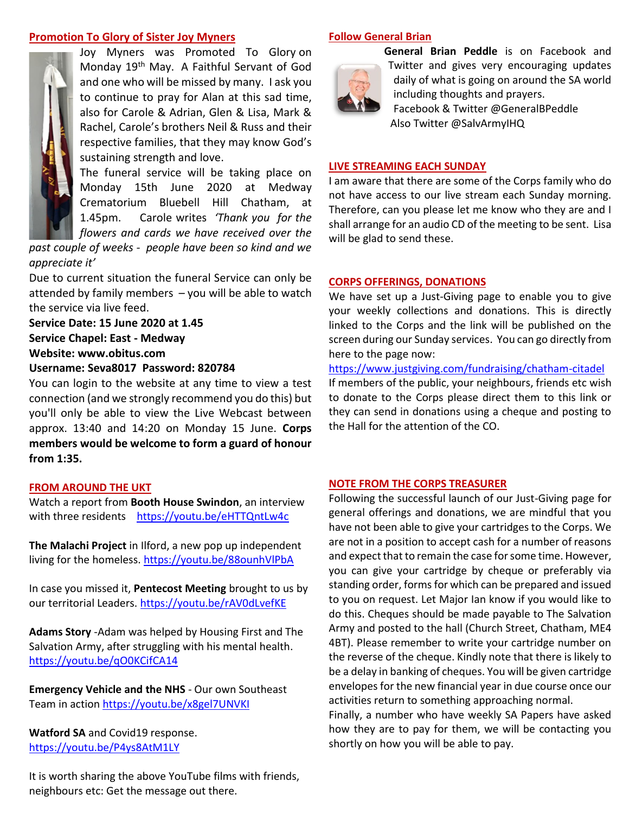#### **Promotion To Glory of Sister Joy Myners**



Joy Myners was Promoted To Glory on Monday 19th May. A Faithful Servant of God and one who will be missed by many. I ask you to continue to pray for Alan at this sad time, also for Carole & Adrian, Glen & Lisa, Mark & Rachel, Carole's brothers Neil & Russ and their respective families, that they may know God's sustaining strength and love.

The funeral service will be taking place on Monday 15th June 2020 at Medway Crematorium Bluebell Hill Chatham, at 1.45pm. Carole writes *'Thank you for the flowers and cards we have received over the* 

*past couple of weeks - people have been so kind and we appreciate it'*

Due to current situation the funeral Service can only be attended by family members – you will be able to watch the service via live feed.

**Service Date: 15 June 2020 at 1.45 Service Chapel: East - Medway Website: www.obitus.com Username: Seva8017 Password: 820784**

You can login to the website at any time to view a test connection (and we strongly recommend you do this) but you'll only be able to view the Live Webcast between approx. 13:40 and 14:20 on Monday 15 June. **Corps members would be welcome to form a guard of honour from 1:35.**

#### **FROM AROUND THE UKT**

Watch a report from **Booth House Swindon**, an interview with three residents <https://youtu.be/eHTTQntLw4c>

**The Malachi Project** in Ilford, a new pop up independent living for the homeless.<https://youtu.be/88ounhVlPbA>

In case you missed it, **Pentecost Meeting** brought to us by our territorial Leaders.<https://youtu.be/rAV0dLvefKE>

**Adams Story** -Adam was helped by Housing First and The Salvation Army, after struggling with his mental health. <https://youtu.be/qO0KCifCA14>

**Emergency Vehicle and the NHS** - Our own Southeast Team in action<https://youtu.be/x8gel7UNVKI>

**Watford SA** and Covid19 response. <https://youtu.be/P4ys8AtM1LY>

It is worth sharing the above YouTube films with friends, neighbours etc: Get the message out there.

#### **Follow General Brian**



**General Brian Peddle** is on Facebook and Twitter and gives very encouraging updates daily of what is going on around the SA world including thoughts and prayers. Facebook & Twitter @GeneralBPeddle Also Twitter @SalvArmyIHQ

#### **LIVE STREAMING EACH SUNDAY**

I am aware that there are some of the Corps family who do not have access to our live stream each Sunday morning. Therefore, can you please let me know who they are and I shall arrange for an audio CD of the meeting to be sent. Lisa will be glad to send these.

#### **CORPS OFFERINGS, DONATIONS**

We have set up a Just-Giving page to enable you to give your weekly collections and donations. This is directly linked to the Corps and the link will be published on the screen during our Sunday services. You can go directly from here to the page now:

#### [https://www.justgiving.com/fundraising/chatham-citadel](https://protect-eu.mimecast.com/s/XvwDCQ1YOIXwzxrHxFDQp?domain=justgiving.com)

If members of the public, your neighbours, friends etc wish to donate to the Corps please direct them to this link or they can send in donations using a cheque and posting to the Hall for the attention of the CO.

#### **NOTE FROM THE CORPS TREASURER**

Following the successful launch of our Just-Giving page for general offerings and donations, we are mindful that you have not been able to give your cartridges to the Corps. We are not in a position to accept cash for a number of reasons and expect that to remain the case for some time. However, you can give your cartridge by cheque or preferably via standing order, forms for which can be prepared and issued to you on request. Let Major Ian know if you would like to do this. Cheques should be made payable to The Salvation Army and posted to the hall (Church Street, Chatham, ME4 4BT). Please remember to write your cartridge number on the reverse of the cheque. Kindly note that there is likely to be a delay in banking of cheques. You will be given cartridge envelopes for the new financial year in due course once our activities return to something approaching normal.

Finally, a number who have weekly SA Papers have asked how they are to pay for them, we will be contacting you shortly on how you will be able to pay.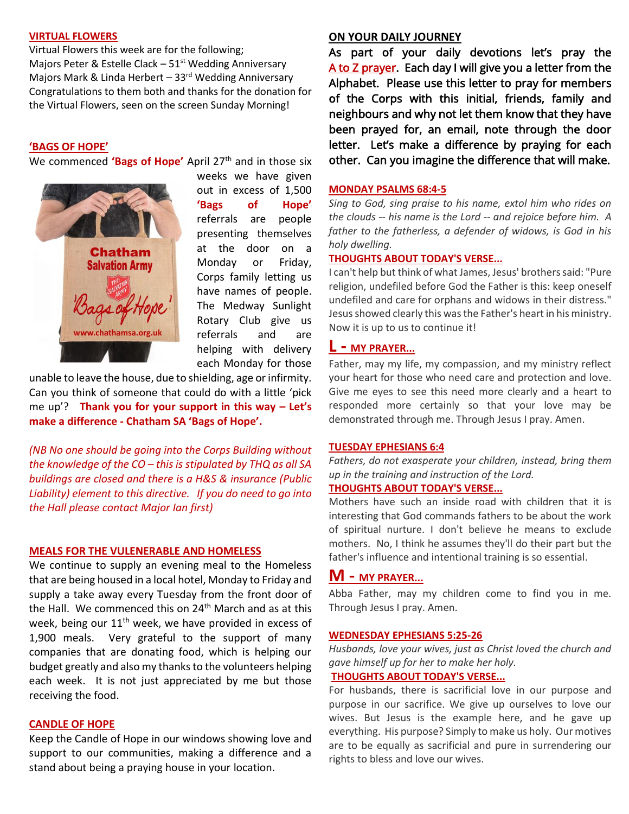#### **VIRTUAL FLOWERS**

Virtual Flowers this week are for the following; Majors Peter & Estelle Clack  $-51<sup>st</sup>$  Wedding Anniversary Majors Mark & Linda Herbert - 33<sup>rd</sup> Wedding Anniversary Congratulations to them both and thanks for the donation for the Virtual Flowers, seen on the screen Sunday Morning!

#### **'BAGS OF HOPE'**

We commenced 'Bags of Hope' April 27<sup>th</sup> and in those six



weeks we have given out in excess of 1,500 **'Bags of Hope'** referrals are people presenting themselves at the door on a Monday or Friday, Corps family letting us have names of people. The Medway Sunlight Rotary Club give us referrals and are helping with delivery each Monday for those

unable to leave the house, due to shielding, age or infirmity. Can you think of someone that could do with a little 'pick me up'? **Thank you for your support in this way – Let's make a difference - Chatham SA 'Bags of Hope'.**

*(NB No one should be going into the Corps Building without the knowledge of the CO – this is stipulated by THQ as all SA buildings are closed and there is a H&S & insurance (Public Liability) element to this directive. If you do need to go into the Hall please contact Major Ian first)*

#### **MEALS FOR THE VULENERABLE AND HOMELESS**

We continue to supply an evening meal to the Homeless that are being housed in a local hotel, Monday to Friday and supply a take away every Tuesday from the front door of the Hall. We commenced this on 24<sup>th</sup> March and as at this week, being our  $11<sup>th</sup>$  week, we have provided in excess of 1,900 meals. Very grateful to the support of many companies that are donating food, which is helping our budget greatly and also my thanks to the volunteers helping each week. It is not just appreciated by me but those receiving the food.

#### **CANDLE OF HOPE**

Keep the Candle of Hope in our windows showing love and support to our communities, making a difference and a stand about being a praying house in your location.

#### **ON YOUR DAILY JOURNEY**

As part of your daily devotions let's pray the A to Z prayer. Each day I will give you a letter from the Alphabet. Please use this letter to pray for members of the Corps with this initial, friends, family and neighbours and why not let them know that they have been prayed for, an email, note through the door letter. Let's make a difference by praying for each other. Can you imagine the difference that will make.

#### **MONDAY [PSALMS 68:4-5](https://www.biblestudytools.com/psalms/passage/?q=psalms+68:4-5)**

*Sing to God, sing praise to his name, extol him who rides on the clouds -- his name is the Lord -- and rejoice before him. A father to the fatherless, a defender of widows, is God in his holy dwelling.*

#### **THOUGHTS ABOUT TODAY'S VERSE...**

I can't help but think of what James, Jesus' brothers said: "Pure religion, undefiled before God the Father is this: keep oneself undefiled and care for orphans and widows in their distress." Jesus showed clearly this was the Father's heart in his ministry. Now it is up to us to continue it!

#### **L - MY [PRAYER.](https://www.crosswalk.com/faith/prayer/)..**

Father, may my life, my compassion, and my ministry reflect your heart for those who need care and protection and love. Give me eyes to see this need more clearly and a heart to responded more certainly so that your love may be demonstrated through me. Through Jesus I pray. Amen.

#### **TUESDAY [EPHESIANS 6:4](https://www.biblestudytools.com/ephesians/6-4.html)**

*Fathers, do not exasperate your children, instead, bring them up in the training and instruction of the Lord.*

#### **THOUGHTS ABOUT TODAY'S VERSE...**

Mothers have such an inside road with children that it is interesting that God commands fathers to be about the work of spiritual nurture. I don't believe he means to exclude mothers. No, I think he assumes they'll do their part but the father's influence and intentional training is so essential.

## **M - MY PRAYER...**

Abba Father, may my children come to find you in me. Through Jesus I pray. Amen.

#### **WEDNESDAY [EPHESIANS 5:25-26](https://www.biblestudytools.com/ephesians/passage/?q=ephesians+5:25-26)**

*Husbands, love your wives, just as Christ loved the church and gave himself up for her to make her holy.*

#### **THOUGHTS ABOUT TODAY'S VERSE...**

For husbands, there is sacrificial love in our purpose and purpose in our sacrifice. We give up ourselves to love our wives. But Jesus is the example here, and he gave up everything. His purpose? Simply to make us holy. Our motives are to be equally as sacrificial and pure in surrendering our rights to bless and love our wives.